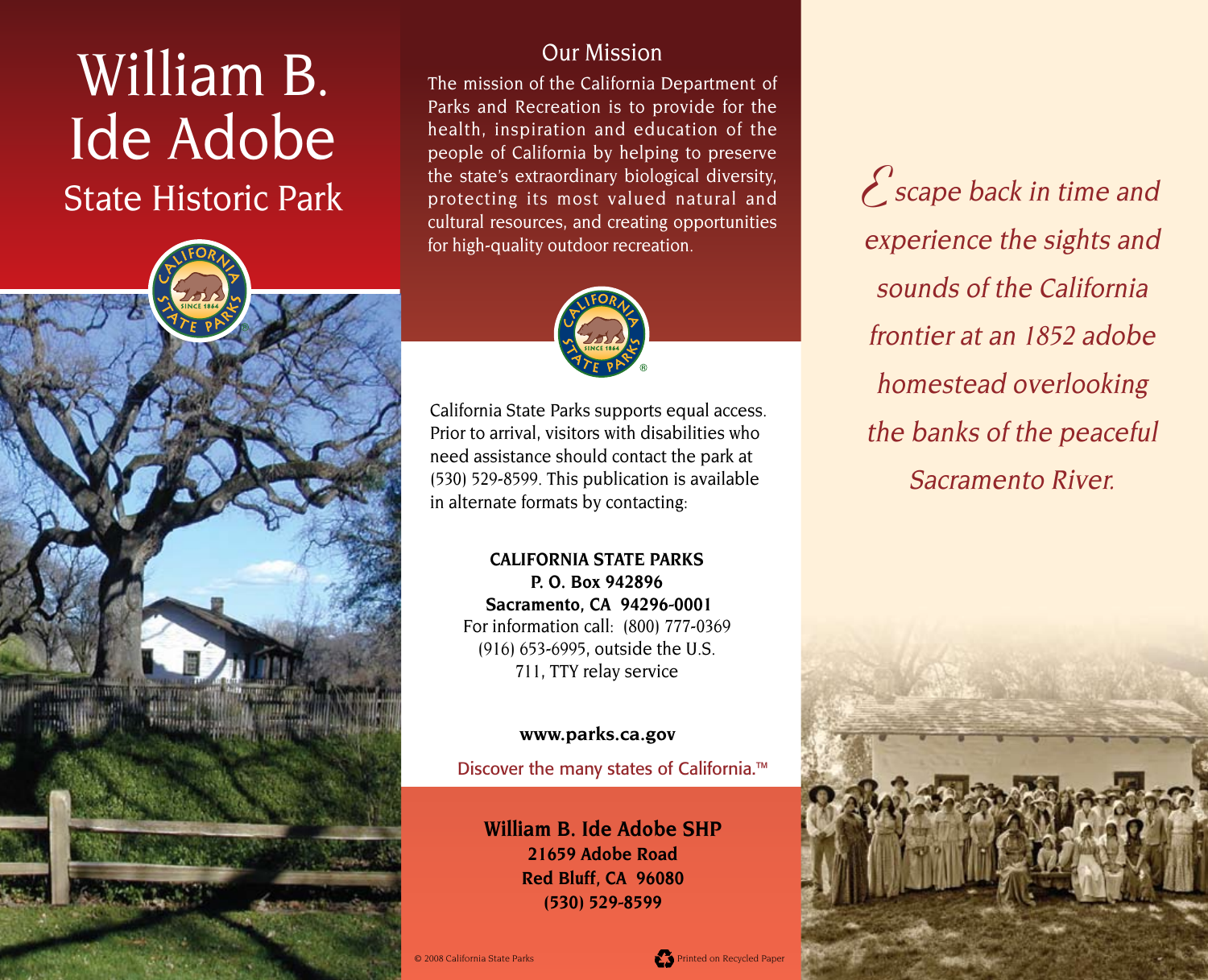# William B. Ide Adobe State Historic Park

### Our Mission

The mission of the California Department of Parks and Recreation is to provide for the health, inspiration and education of the people of California by helping to preserve the state's extraordinary biological diversity, protecting its most valued natural and cultural resources, and creating opportunities for high-quality outdoor recreation.



California State Parks supports equal access. Prior to arrival, visitors with disabilities who need assistance should contact the park at (530) 529-8599. This publication is available in alternate formats by contacting:

**CALIFORNIA STATE PARKS P. O. Box 942896 Sacramento, CA 94296-0001** For information call: (800) 777-0369  $(916)$  653-6995, outside the U.S. 711, TTY relay service

#### **[www.parks.ca.gov](http://www.parks.ca.gov)**

Discover the many states of California.™

**William B. Ide Adobe SHP 21659 Adobe Road Red Bluff, CA 96080 (530) 529-8599**

**E**scape back in time and experience the sights and sounds of the California frontier at an 1852 adobe homestead overlooking the banks of the peaceful Sacramento River.

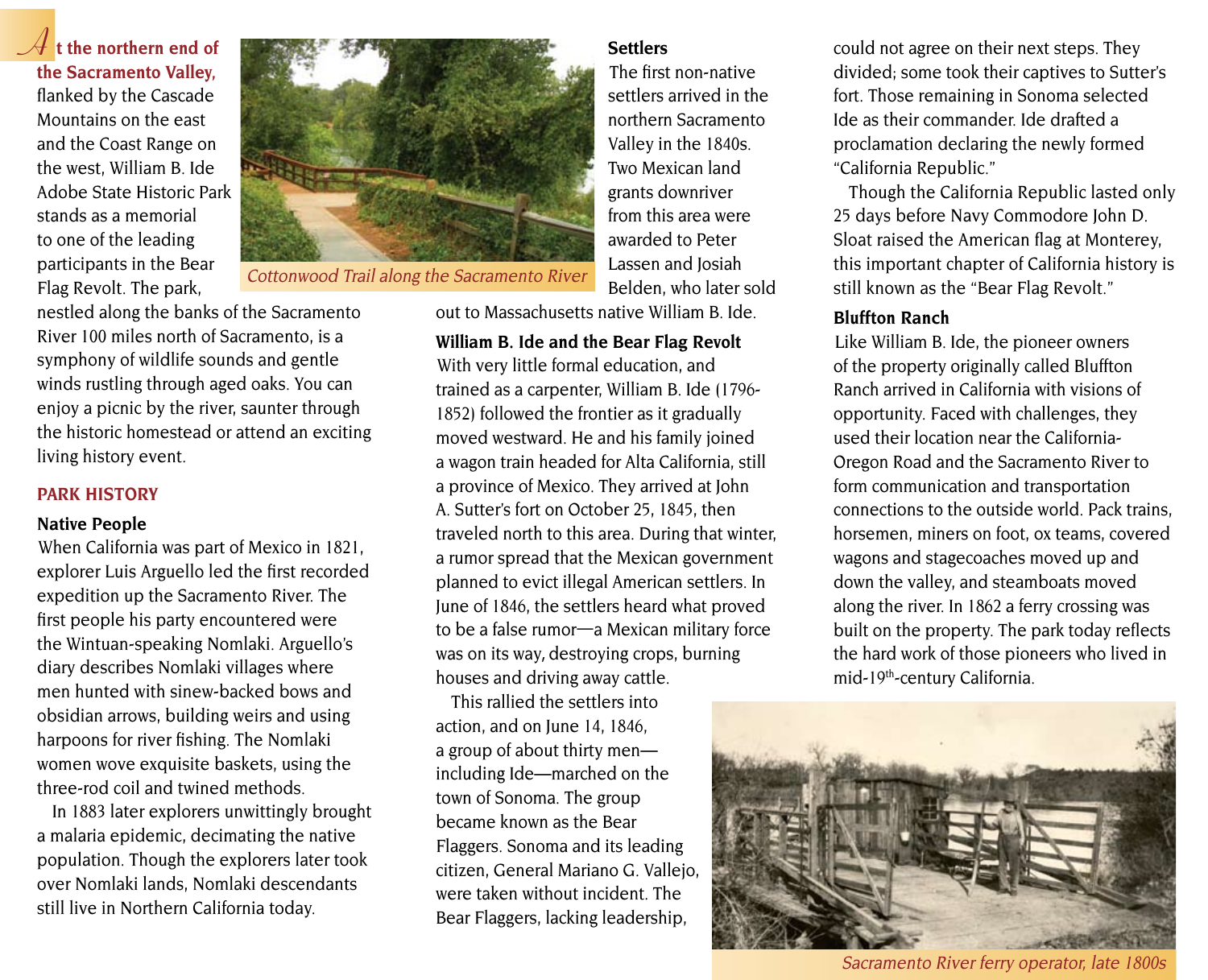**A t the northern end of the Sacramento Valley,**  flanked by the Cascade Mountains on the east and the Coast Range on the west, William B. Ide Adobe State Historic Park stands as a memorial to one of the leading participants in the Bear Flag Revolt. The park,



The first non-native settlers arrived in the northern Sacramento Valley in the 1840s. Two Mexican land grants downriver from this area were awarded to Peter Lassen and Josiah Belden, who later sold

out to Massachusetts native William B. Ide.

**William B. Ide and the Bear Flag Revolt** With very little formal education, and trained as a carpenter, William B. Ide (1796- 1852) followed the frontier as it gradually moved westward. He and his family joined a wagon train headed for Alta California, still a province of Mexico. They arrived at John A. Sutter's fort on October 25, 1845, then traveled north to this area. During that winter, a rumor spread that the Mexican government planned to evict illegal American settlers. In June of 1846, the settlers heard what proved to be a false rumor—a Mexican military force was on its way, destroying crops, burning houses and driving away cattle.

This rallied the settlers into action, and on June 14, 1846, a group of about thirty men including Ide—marched on the town of Sonoma. The group became known as the Bear Flaggers. Sonoma and its leading citizen, General Mariano G. Vallejo, were taken without incident. The Bear Flaggers, lacking leadership,

**Settlers** could not agree on their next steps. They divided; some took their captives to Sutter's fort. Those remaining in Sonoma selected Ide as their commander. Ide drafted a proclamation declaring the newly formed "California Republic."

> Though the California Republic lasted only 25 days before Navy Commodore John D. Sloat raised the American flag at Monterey, this important chapter of California history is still known as the "Bear Flag Revolt."

#### **Bluffton Ranch**

Like William B. Ide, the pioneer owners of the property originally called Bluffton Ranch arrived in California with visions of opportunity. Faced with challenges, they used their location near the California-Oregon Road and the Sacramento River to form communication and transportation connections to the outside world. Pack trains, horsemen, miners on foot, ox teams, covered wagons and stagecoaches moved up and down the valley, and steamboats moved along the river. In 1862 a ferry crossing was built on the property. The park today reflects the hard work of those pioneers who lived in mid-19th-century California.



Sacramento River ferry operator, late 1800s

nestled along the banks of the Sacramento River 100 miles north of Sacramento, is a symphony of wildlife sounds and gentle winds rustling through aged oaks. You can enjoy a picnic by the river, saunter through the historic homestead or attend an exciting living history event.

#### **PARK HISTORY**

#### **Native People**

When California was part of Mexico in 1821, explorer Luis Arguello led the first recorded expedition up the Sacramento River. The first people his party encountered were the Wintuan-speaking Nomlaki. Arguello's diary describes Nomlaki villages where men hunted with sinew-backed bows and obsidian arrows, building weirs and using harpoons for river fishing. The Nomlaki women wove exquisite baskets, using the three-rod coil and twined methods.

In 1883 later explorers unwittingly brought a malaria epidemic, decimating the native population. Though the explorers later took over Nomlaki lands, Nomlaki descendants still live in Northern California today.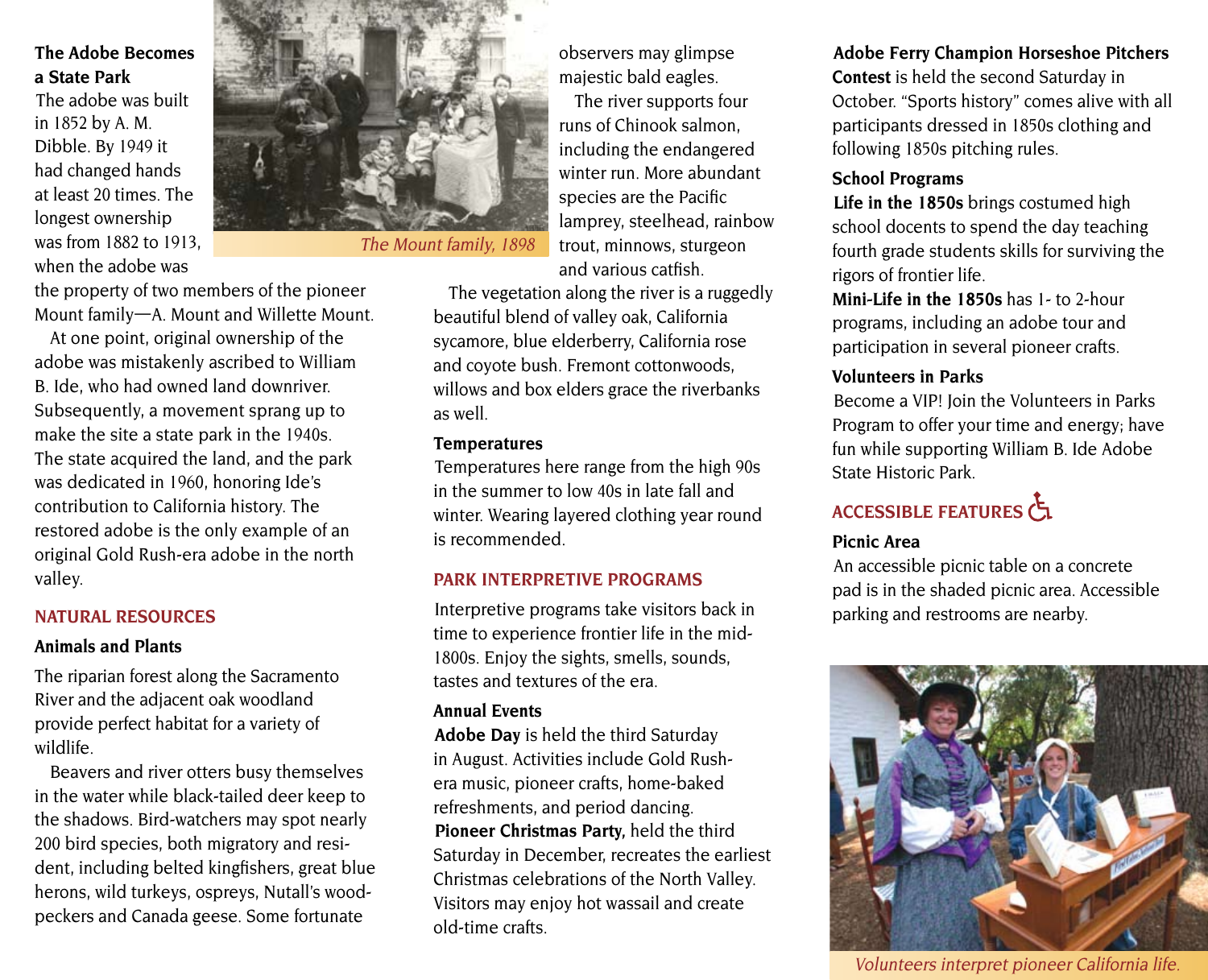#### **The Adobe Becomes a State Park**

The adobe was built in 1852 by A. M. Dibble. By 1949 it had changed hands at least 20 times. The longest ownership was from 1882 to 1913, when the adobe was



observers may glimpse majestic bald eagles. The river supports four runs of Chinook salmon, including the endangered winter run. More abundant species are the Pacific lamprey, steelhead, rainbow trout, minnows, sturgeon and various catfish.

The vegetation along the river is a ruggedly beautiful blend of valley oak, California sycamore, blue elderberry, California rose and coyote bush. Fremont cottonwoods, willows and box elders grace the riverbanks as well.

#### **Temperatures**

Temperatures here range from the high 90s in the summer to low 40s in late fall and winter. Wearing layered clothing year round is recommended.

#### **PARK INTERPRETIVE PROGRAMS**

Interpretive programs take visitors back in time to experience frontier life in the mid-1800s. Enjoy the sights, smells, sounds, tastes and textures of the era.

#### **Annual Events**

**Adobe Day** is held the third Saturday in August. Activities include Gold Rushera music, pioneer crafts, home-baked refreshments, and period dancing. **Pioneer Christmas Party,** held the third Saturday in December, recreates the earliest Christmas celebrations of the North Valley. Visitors may enjoy hot wassail and create old-time crafts.

### **Adobe Ferry Champion Horseshoe Pitchers**

**Contest** is held the second Saturday in October. "Sports history" comes alive with all participants dressed in 1850s clothing and following 1850s pitching rules.

#### **School Programs**

**Life in the 1850s** brings costumed high school docents to spend the day teaching fourth grade students skills for surviving the rigors of frontier life.

**Mini-Life in the 1850s** has 1- to 2-hour programs, including an adobe tour and participation in several pioneer crafts.

#### **Volunteers in Parks**

Become a VIP! Join the Volunteers in Parks Program to offer your time and energy; have fun while supporting William B. Ide Adobe State Historic Park.

## ACCESSIBLE FEATURES

#### **Picnic Area**

An accessible picnic table on a concrete pad is in the shaded picnic area. Accessible parking and restrooms are nearby.



Volunteers interpret pioneer California life.

the property of two members of the pioneer Mount family—A. Mount and Willette Mount.

At one point, original ownership of the adobe was mistakenly ascribed to William B. Ide, who had owned land downriver. Subsequently, a movement sprang up to make the site a state park in the 1940s. The state acquired the land, and the park was dedicated in 1960, honoring Ide's contribution to California history. The restored adobe is the only example of an original Gold Rush-era adobe in the north valley.

### **NATURAL RESOURCES**

#### **Animals and Plants**

The riparian forest along the Sacramento River and the adjacent oak woodland provide perfect habitat for a variety of wildlife.

Beavers and river otters busy themselves in the water while black-tailed deer keep to the shadows. Bird-watchers may spot nearly 200 bird species, both migratory and resident, including belted kingfishers, great blue herons, wild turkeys, ospreys, Nutall's woodpeckers and Canada geese. Some fortunate